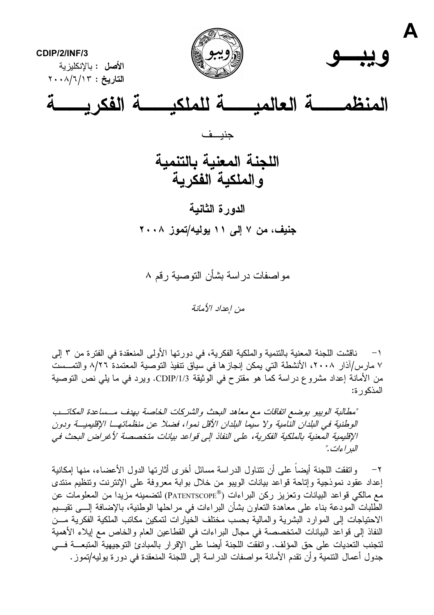

مو اصفات در اسة بشأن التوصية ر قم ۸

من إعداد الأمانة

ناقشت اللجنة المعنية بالنتمية والملكية الفكرية، في دورتها الأولى المنعقدة في الفترة من ٣ إلى  $-1$ ٧ مارس/آذار ٢٠٠٨، الأنشطة التي يمكن إنجازها في سياق نتفيذ التوصية المعتمدة ٨/٢٦ والتمــست من الأمانة إعداد مشروع دراسة كما هو مقترح في الوثيقة CDIP/1/3. ويرد في ما يلي نص التوصية المذكور ة:

"مطالبة الوييو بوضع اتفاقات مع معاهد البحث والشركات الخاصة بهدف مسساعدة المكاتب الوطنية في البلدان النامية ولا سيما البلدان الأقل نموا، فضلا عن منظماتها الإقليميــة ودون الإقليمية المعنية بالملكية الفكرية، على النفاذ إلى قواعد بيانات متخصصة لأغراض البحث في البر اءات."

واتفقت اللجنة أيضاً على أن تتناول الدراسة مسائل أخرى أثارتها الدول الأعضاء، منها إمكانية  $-\mathsf{Y}$ إعداد عقود نموذجية وإتاحة قواعد بيانات الويبو من خلال بوابة معروفة على الإنترنت وتنظيم منتدى مع مالكي قواعد البيانات وتعزيز ركن البراءات (®PATENTSCOPE) لتضمينه مزيدا من المعلومات عن الطلبات المودعة بناء على معاهدة النعاون بشأن البراءات في مراحلها الوطنية، بالإضافة إلـــي نقيـــيم الاحتياجات إلى الموارد البشرية والمالية بحسب مختلف الخيارات لتمكين مكاتب الملكية الفكرية مــن النفاذ إلى قواعد البيانات المتخصصة في مجال البراءات في القطاعين العام والخاص مع إيلاء الأهمية لتجنب التعديات على حق المؤلف. واتفقت اللجنة أيضا على الإقرار بالمبادئ التوجيهية المتبعـــة فـــي جدول أعمال النتمية وأن نقدم الأمانة مواصفات الدراسة إلى اللجنة المنعقدة في دورة يوليه/تموز .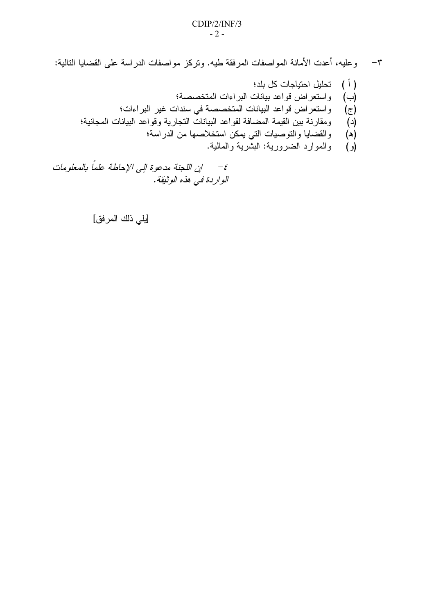٣– وعليه، أعدت الأمانة المواصفات المرفقة طيه. وتركز مواصفات الدراسة على القضايا التالية:

- ( أ ) تحليل احتياجات كل بلد؛ (ب) واستعراض قواعد بيانات البراءات المتخصصة؛ (ج) واستعراض قواعد البيانات المتخصصة في سندات غير البراءات؛ ومقارنة بين القيمة المضافة لقواعد البيانات التجارية وقواعد البيانات المجانية؛  $(\textbf{c})$ (۵) والقضايا والنوصيات الني يمكن استخلاصها من الدراسة؛
	- (و) والموارد الضرورية: البشَّرية والمالية.

٤– إن اللجنة مدعوة إلى الإحاطة علماً بالمعلومات الواردة في هذه الوثيقة.

[يلي ذلك المرفق]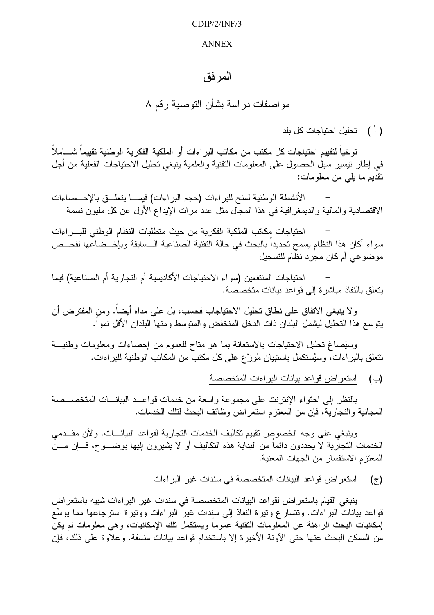## $CDIP/2/INF/3$

## **ANNEX**

## المر فق

مو اصفات در اسة بشأن التوصبة ر قم ۸

( أ ) تحليل احتياجات كل بلد

توخياً لتقييم احتياجات كل مكتب من مكاتب البر اءات أو الملكية الفكرية الوطنية تقييماً شــــاملاً في إطار نيسير سبل الحصول على المعلومات النقنية والعلمية ينبغي نحليل الاحتياجات الفعلية من أجل نقديم ما يلي من معلومات:

الأنشطة الوطنية لمنح للبر اءات (حجم البر اءات) فيمـــا يتعلـــق بالإحـــصـاءات الاقتصادية والمالية والديمغر افية في هذا المجال مثل عدد مرات الإيداع الأول عن كل مليون نسمة

احتياجات مكاتب الملكية الفكرية من حيث متطلبات النظام الوطني للبسراءات سواء أكان هذا النظام يسمح تحديداً بالبحث في حالة النقنية الصناعية الــسابقة وبإخـــضاعها لفحـــص موضوعي أم كان مجرد نظام للتسجيل

احتياجات المنتفعين (سواء الاحتياجات الأكاديمية أم التجارية أم الصناعية) فيما يتعلَّق بالنفاذ مباشرة إلى قواعد بيانات متخصصة.

ولا ينبغي الاتفاق على نطاق تحليل الاحتياجاب فحسب، بل على مداه أيضاً. ومن المفترض أن يتوسع هذا التحليل ليشمل البلدان ذات الدخل المنخفض والمتوسط ومنها البلدان الأقل نمواً.

وسيُصاغ تحليل الاحتياجات بالاستعانة بما هو متاح للعموم من إحصاءات ومعلومات وطنيـــة نتعلق بالبر اءات، وسيُستكمل باستبيان مُوزَّع على كل مكتبٌ من المكاتب الوطنية للبر اءات.

(ب) استعراض قواعد بيانات البراءات المتخصصة

بالنظر إلىي احتواء الإنترنت على مجموعة واسعة من خدمات قواعــد البيانـــات المتخصـــصة المجانية والتجارية، فإن من المعتزم استعراض وظائف البحث لتلك الخدمات.

وينبغي على وجه الخصوص نقييم نكاليف الخدمات النجارية لقواعد البيانـــات. ولأن مقـــدمي الخدمات النجارية لا يحددون دائماً من البداية هذه النكاليف أو لا يشيرون إليها بوضــــوح، فــــاٍن مــــن المعتز م الاستفسار من الجهات المعنية.

> استعراض قواعد البيانات المتخصصة في سندات غير البراءات  $(\tau)$

ينبغي القيام باستعر اض لقواعد البيانات المتخصصة في سندات غير البر اءات شبيه باستعر اض قواعد بيانات البر اءات. وتتسارع وتيرة النفاذ إلى سندات غير البر اءات ووتيرة استرجاعها مما يوسِّع إمكانيات البحث الراهنة عن المعلومات التقنية عموماً ويستكمل نلك الإمكانيات، وهي معلومات لم يكنّ من الممكن البحث عنها حتى الآونة الأخيرة إلا باستخدام قواعد بيانات منسقة. وعلاوة على ذلك، فإن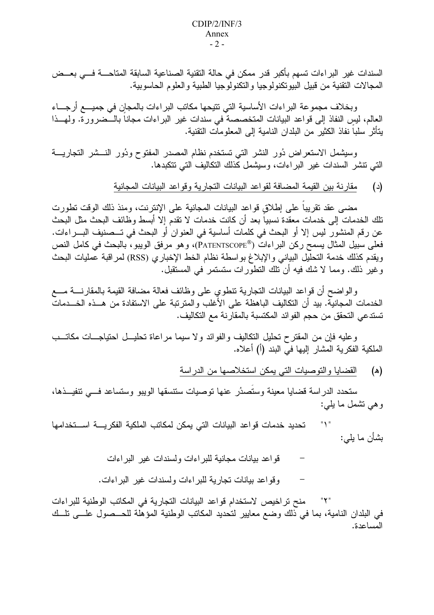السندات غير البراءات تسهم بأكبر قدر ممكن في حالة التقنية الصناعية السابقة المتاحــــة فـــي بعـــض المجالات التقنية من قبيل البيوتكنولوجيا والتكنولوجيا الطبية والعلوم الحاسوبية.

وبخلاف مجموعة البراءات الأساسية التي تتيحها مكاتب البراءات بالمجان في جميـــع أرجـــاء العالم، ليس النفاذ إلى قواعد البيانات المتخصصة في سندات غير البر اءات مجاناً بالــضرور ة. ولهــذا يتأثَّر سلباً نفاذ الكثير من البلدان النامية إلى المعلومات التقنية.

وسيشمل الاستعراض دُور النشر التي تستخدم نظام المصدر المفتوح ودُور النـــشر التجاريـــة التي تتشر السندات غير البر اءات، وسيشمل كَذلك التكاليف التي تتكبدها.

> مقارنة بين القيمة المضافة لقواعد البيانات التجارية وقواعد البيانات المجانية  $\left( \begin{array}{c} 2 \end{array} \right)$

مضبي عقد نقريبا على إطلاق قواعد البيانات المجانية على الإنترنت، ومنذ ذلك الوقت تطورت تلك الخدمات إلى خدمات معقدة نسبياً بعد أن كانت خدمات لا تقدم إلا أبسط وظائف البحث مثل البحث عن رقم المنشور ليس إلا أو البحث في كلمات أساسية في العنوان أو البحث في تـــصنيف البــــراءات. فعلي سبيل المثال يسمح ركن البر اءات (PATENTSCOPE®)، و هو مرفق الويبو ، بالبحث في كامل النص ويقدم كذلك خدمة التحليل البياني والإبلاغ بواسطة نظام الخط الإخباري (RSS) لمراقبة عمليات البحث و غير ذلك. ومما لا شك فيه أن تلك النطور ات ستستمر في المستقبل.

والواضح أن قواعد البيانات التجارية تنطوى على وظائف فعالة مضافة القيمة بالمقارنسة مسع الخدمات المجانية. بيد أن التكاليف الباهظة على الأغلب والمنزنبة على الاستفادة من هــذه الخـــدمات تستدعي التحقق من حجم الفوائد المكتسبة بالمقارنة مع التكاليف.

وعليه فإن من المقترح نحليل التكاليف والفوائد ولا سيما مراعاة نحليــل احتياجـــات مكاتـــب الملكية الفكرية المشار إليها في البند (أ) أعلاه.

> القضايا والتوصيات التبي يمكن استخلاصها من الدراسة (ه)

ستحدد الدراسة قضايا معينة وستصدُر عنها توصيات ستتسقها الويبو وستساعد فسى نتفيــذها، وهي نشمل ما يلبي:

 $"Y"$ تحديد خدمات قواعد البيانات التي يمكن لمكاتب الملكية الفكريسة اسستخدامها بشأن ما يلي:

> قواعد بيانات مجانية للبر اءات ولسندات غير البر اءات وقواعد بيانات تجارية للبر اءات ولسندات غير البر اءات.

منح تراخيص لاستخدام قواعد البيانات التجارية في المكاتب الوطنية للبر اءات في البلدان النامية، بما في ذلك وضع معايير لتحديد المكاتب الوطنية المؤهلة للحـــصول علــــي تلـــك المساعدة.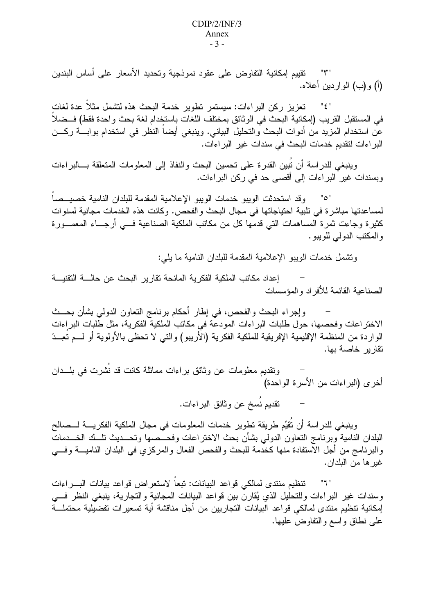نقييم إمكانية التفاوض على عقود نموذجية وتحديد الأسعار على أساس البندين  $"\uparrow"$ (أ) و(ب) الواردين أعلاه.

تعزيز ركن البراءات: سيستمر نطوير خدمة البحث هذه لتشمل مثلا عدة لغات " ٤ " في المستقبل القريب (إمكانية البحث في الوثائق بمختلف اللغات باستخدام لغة بحث واحدة فقط) فـــضلاً عن استخدام المزيد من أدوات البحث والتحليل البياني. وينبغي أيضـاً النظر في استخدام بوابـــة ركـــن البراءات لتقديم خدمات البحث في سندات غير البراءات.

وينبغي للدراسة أن تُبين القدرة على تحسين البحث والنفاذ إلى المعلومات المتعلقة بـــالبراءات وبسندات غير البراءات إلى أقصبي حد في ركن البراءات.

وقد استحدثت الويبو خدمات الويبو الإعلامية المقدمة للبلدان النامية خصيصا "ه" لمساعدتها مباشرة في تلبية احتياجاتها في مجال البحث والفحص. وكانت هذه الخدمات مجانية لسنوات كثيرة وجاءت ثمرة المساهمات النبي قدمها كل من مكاتب الملكية الصناعية فـــي أرجـــاء المعمـــورة و المكتب الدو لي للو يبو .

وتشمل خدمات الويبو الإعلامية المقدمة للبلدان النامية ما يلي:

إعداد مكاتب الملكية الفكرية المانحة تقارير البحث عن حالسة التقنيسة الصناعية القائمة للأفر اد و المؤسسات

وإجراء البحث والفحص، في إطار أحكام برنامج النعاون الدولي بشأن بحــث الاختراعات وفحصـها، حول طلبات البراءات المودعَّة في مكانب الملكية الفكرية، مثل طُّلبات البراءات الواردة من المنظمة الإقليمية الإفريقية للملكية الفكرية (الأريبو) والتبي لا تحظى بالأولوية أو لـــم تُعِــدّ تقارير خاصة بها.

ونقديم معلومات عن وثائق براءات مماثلة كانت قد نُشرت في بلـــدان أخرى (البراءات من الأسرة الواحدة)

نقديم نُسخ عن وثائق البراءات.

وينبغي للدراسة أن تُقيِّم طريقة تطوير خدمات المعلومات في مجال الملكية الفكريــــة لـــصـالح البلدان النامية وبرنامج النعاون الدولمي بشأن بحث الاختراعات وفحـــصها وتحـــديث نلـــك الخـــدمات والبرنامج من أجل الاستفادة منها كخدمة للبحث والفحص الفعال والمركزي في البلدان الناميــــة وفــــي غير ها من البلدان.

تنظيم منتدى لمالكي قواعد البيانات: تبعا لاستعراض قواعد بيانات البسراءات  $"I"$ وسندات غير البراءات وللتحليل الذي يُقارن بين قواعد البيانات المجانية والتجارية، ينبغي النظر فـــي إمكانية تنظيم منتدى لمالكي قواعد البيانات التجاريين من أجل مناقشة أية تسعيرات تفضيلية محتملـــة علمي نطاق واسع والنفاوض عليها.